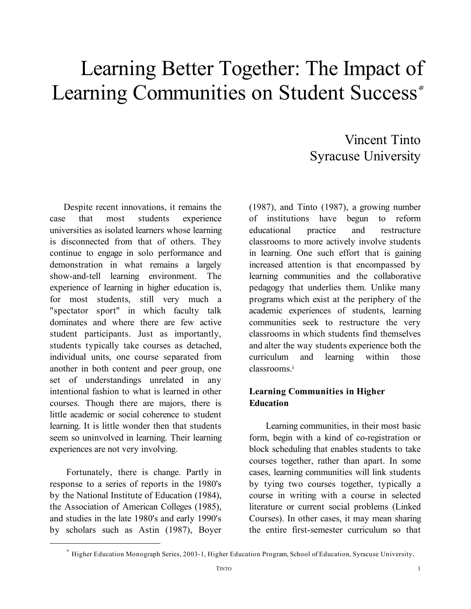# Learning Better Together: The Impact of Learning Communities on Student Success<sup>\*</sup>

# Vincent Tinto Syracuse University

Despite recent innovations, it remains the case that most students experience universities as isolated learners whose learning is disconnected from that of others. They continue to engage in solo performance and demonstration in what remains a largely show-and-tell learning environment. The experience of learning in higher education is, for most students, still very much a "spectator sport" in which faculty talk dominates and where there are few active student participants. Just as importantly, students typically take courses as detached, individual units, one course separated from another in both content and peer group, one set of understandings unrelated in any intentional fashion to what is learned in other courses. Though there are majors, there is little academic or social coherence to student learning. It is little wonder then that students seem so uninvolved in learning. Their learning experiences are not very involving.

Fortunately, there is change. Partly in response to a series of reports in the 1980's by the National Institute of Education (1984), the Association of American Colleges (1985), and studies in the late 1980's and early 1990's by scholars such as Astin (1987), Boyer

 $\overline{a}$ 

(1987), and Tinto (1987), a growing number of institutions have begun to reform educational practice and restructure classrooms to more actively involve students in learning. One such effort that is gaining increased attention is that encompassed by learning communities and the collaborative pedagogy that underlies them. Unlike many programs which exist at the periphery of the academic experiences of students, learning communities seek to restructure the very classrooms in which students find themselves and alter the way students experience both the curriculum and learning within those classrooms<sup>i</sup>

## **Learning Communities in Higher Education**

Learning communities, in their most basic form, begin with a kind of co-registration or block scheduling that enables students to take courses together, rather than apart. In some cases, learning communities will link students by tying two courses together, typically a course in writing with a course in selected literature or current social problems (Linked Courses). In other cases, it may mean sharing the entire first-semester curriculum so that

<sup>∗</sup> Higher Education Monograph Series, 2003-1, Higher Education Program, School of Education, Syracuse University.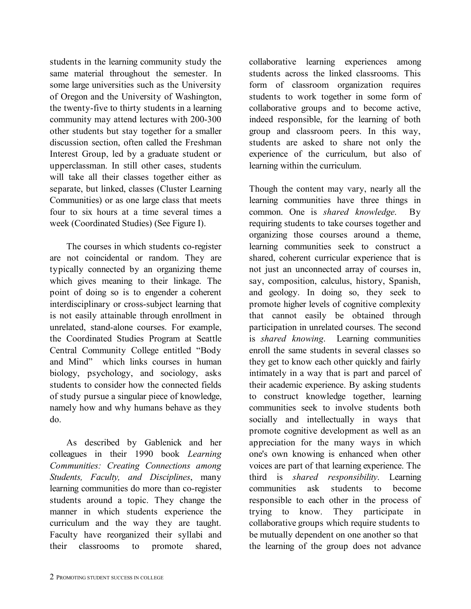students in the learning community study the same material throughout the semester. In some large universities such as the University of Oregon and the University of Washington, the twenty-five to thirty students in a learning community may attend lectures with 200-300 other students but stay together for a smaller discussion section, often called the Freshman Interest Group, led by a graduate student or upperclassman. In still other cases, students will take all their classes together either as separate, but linked, classes (Cluster Learning Communities) or as one large class that meets four to six hours at a time several times a week (Coordinated Studies) (See Figure I).

The courses in which students co-register are not coincidental or random. They are typically connected by an organizing theme which gives meaning to their linkage. The point of doing so is to engender a coherent interdisciplinary or cross-subject learning that is not easily attainable through enrollment in unrelated, stand-alone courses. For example, the Coordinated Studies Program at Seattle Central Community College entitled "Body and Mind" which links courses in human biology, psychology, and sociology, asks students to consider how the connected fields of study pursue a singular piece of knowledge, namely how and why humans behave as they do.

As described by Gablenick and her colleagues in their 1990 book *Learning Communities: Creating Connections among Students, Faculty, and Disciplines*, many learning communities do more than co-register students around a topic. They change the manner in which students experience the curriculum and the way they are taught. Faculty have reorganized their syllabi and their classrooms to promote shared,

collaborative learning experiences among students across the linked classrooms. This form of classroom organization requires students to work together in some form of collaborative groups and to become active, indeed responsible, for the learning of both group and classroom peers. In this way, students are asked to share not only the experience of the curriculum, but also of learning within the curriculum.

Though the content may vary, nearly all the learning communities have three things in common. One is *shared knowledge*. By requiring students to take courses together and organizing those courses around a theme, learning communities seek to construct a shared, coherent curricular experience that is not just an unconnected array of courses in, say, composition, calculus, history, Spanish, and geology. In doing so, they seek to promote higher levels of cognitive complexity that cannot easily be obtained through participation in unrelated courses. The second is *shared knowing*. Learning communities enroll the same students in several classes so they get to know each other quickly and fairly intimately in a way that is part and parcel of their academic experience. By asking students to construct knowledge together, learning communities seek to involve students both socially and intellectually in ways that promote cognitive development as well as an appreciation for the many ways in which one's own knowing is enhanced when other voices are part of that learning experience. The third is *shared responsibility*. Learning communities ask students to become responsible to each other in the process of trying to know. They participate in collaborative groups which require students to be mutually dependent on one another so that the learning of the group does not advance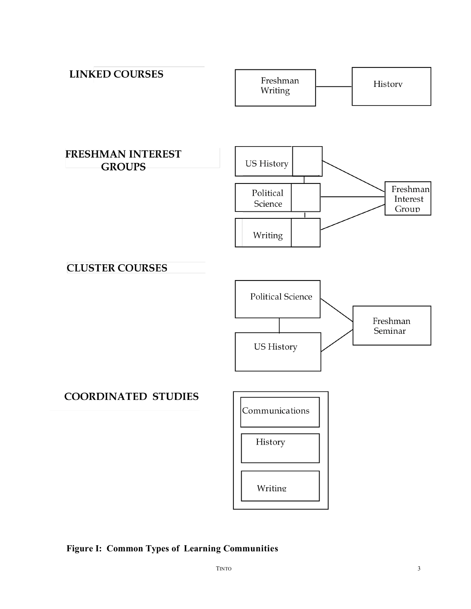

**Figure I: Common Types of Learning Communities**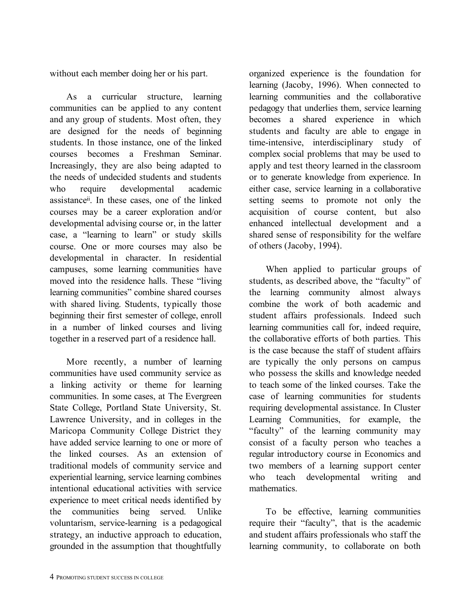without each member doing her or his part.

As a curricular structure, learning communities can be applied to any content and any group of students. Most often, they are designed for the needs of beginning students. In those instance, one of the linked courses becomes a Freshman Seminar. Increasingly, they are also being adapted to the needs of undecided students and students who require developmental academic assistanceii . In these cases, one of the linked courses may be a career exploration and/or developmental advising course or, in the latter case, a "learning to learn" or study skills course. One or more courses may also be developmental in character. In residential campuses, some learning communities have moved into the residence halls. These "living learning communities" combine shared courses with shared living. Students, typically those beginning their first semester of college, enroll in a number of linked courses and living together in a reserved part of a residence hall.

More recently, a number of learning communities have used community service as a linking activity or theme for learning communities. In some cases, at The Evergreen State College, Portland State University, St. Lawrence University, and in colleges in the Maricopa Community College District they have added service learning to one or more of the linked courses. As an extension of traditional models of community service and experiential learning, service learning combines intentional educational activities with service experience to meet critical needs identified by the communities being served. Unlike voluntarism, service-learning is a pedagogical strategy, an inductive approach to education, grounded in the assumption that thoughtfully

organized experience is the foundation for learning (Jacoby, 1996). When connected to learning communities and the collaborative pedagogy that underlies them, service learning becomes a shared experience in which students and faculty are able to engage in time-intensive, interdisciplinary study of complex social problems that may be used to apply and test theory learned in the classroom or to generate knowledge from experience. In either case, service learning in a collaborative setting seems to promote not only the acquisition of course content, but also enhanced intellectual development and a shared sense of responsibility for the welfare of others (Jacoby, 1994).

When applied to particular groups of students, as described above, the "faculty" of the learning community almost always combine the work of both academic and student affairs professionals. Indeed such learning communities call for, indeed require, the collaborative efforts of both parties. This is the case because the staff of student affairs are typically the only persons on campus who possess the skills and knowledge needed to teach some of the linked courses. Take the case of learning communities for students requiring developmental assistance. In Cluster Learning Communities, for example, the "faculty" of the learning community may consist of a faculty person who teaches a regular introductory course in Economics and two members of a learning support center who teach developmental writing and mathematics.

To be effective, learning communities require their "faculty", that is the academic and student affairs professionals who staff the learning community, to collaborate on both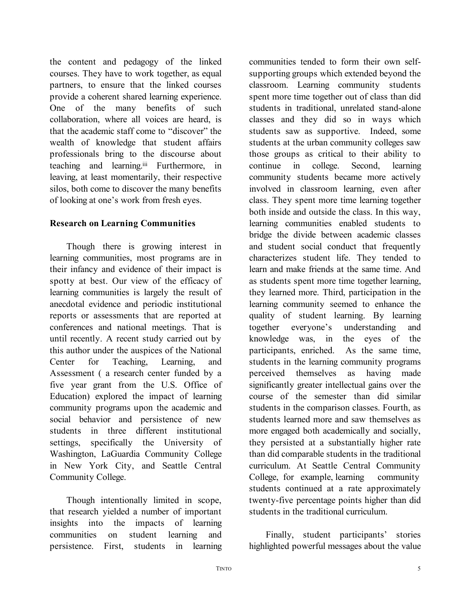the content and pedagogy of the linked courses. They have to work together, as equal partners, to ensure that the linked courses provide a coherent shared learning experience. One of the many benefits of such collaboration, where all voices are heard, is that the academic staff come to "discover" the wealth of knowledge that student affairs professionals bring to the discourse about teaching and learning. iii Furthermore, in leaving, at least momentarily, their respective silos, both come to discover the many benefits of looking at one's work from fresh eyes.

## **Research on Learning Communities**

Though there is growing interest in learning communities, most programs are in their infancy and evidence of their impact is spotty at best. Our view of the efficacy of learning communities is largely the result of anecdotal evidence and periodic institutional reports or assessments that are reported at conferences and national meetings. That is until recently. A recent study carried out by this author under the auspices of the National Center for Teaching, Learning, and Assessment ( a research center funded by a five year grant from the U.S. Office of Education) explored the impact of learning community programs upon the academic and social behavior and persistence of new students in three different institutional settings, specifically the University of Washington, LaGuardia Community College in New York City, and Seattle Central Community College.

Though intentionally limited in scope, that research yielded a number of important insights into the impacts of learning communities on student learning and persistence. First, students in learning

communities tended to form their own selfsupporting groups which extended beyond the classroom. Learning community students spent more time together out of class than did students in traditional, unrelated stand-alone classes and they did so in ways which students saw as supportive. Indeed, some students at the urban community colleges saw those groups as critical to their ability to continue in college. Second, learning community students became more actively involved in classroom learning, even after class. They spent more time learning together both inside and outside the class. In this way, learning communities enabled students to bridge the divide between academic classes and student social conduct that frequently characterizes student life. They tended to learn and make friends at the same time. And as students spent more time together learning, they learned more. Third, participation in the learning community seemed to enhance the quality of student learning. By learning together everyone's understanding and knowledge was, in the eyes of the participants, enriched. As the same time, students in the learning community programs perceived themselves as having made significantly greater intellectual gains over the course of the semester than did similar students in the comparison classes. Fourth, as students learned more and saw themselves as more engaged both academically and socially, they persisted at a substantially higher rate than did comparable students in the traditional curriculum. At Seattle Central Community College, for example, learning community students continued at a rate approximately twenty-five percentage points higher than did students in the traditional curriculum.

Finally, student participants' stories highlighted powerful messages about the value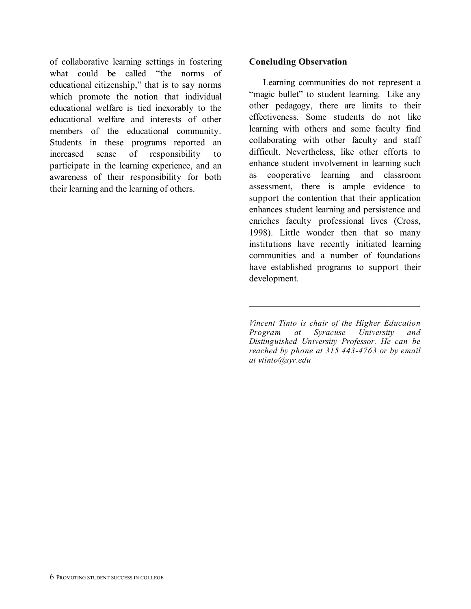of collaborative learning settings in fostering what could be called "the norms of educational citizenship," that is to say norms which promote the notion that individual educational welfare is tied inexorably to the educational welfare and interests of other members of the educational community. Students in these programs reported an increased sense of responsibility to participate in the learning experience, and an awareness of their responsibility for both their learning and the learning of others.

#### **Concluding Observation**

Learning communities do not represent a "magic bullet" to student learning. Like any other pedagogy, there are limits to their effectiveness. Some students do not like learning with others and some faculty find collaborating with other faculty and staff difficult. Nevertheless, like other efforts to enhance student involvement in learning such as cooperative learning and classroom assessment, there is ample evidence to support the contention that their application enhances student learning and persistence and enriches faculty professional lives (Cross, 1998). Little wonder then that so many institutions have recently initiated learning communities and a number of foundations have established programs to support their development.

 $\mathcal{L}_\text{max}$ 

*Vincent Tinto is chair of the Higher Education Program at Syracuse University and Distinguished University Professor. He can be reached by phone at 315 443-4763 or by email at vtinto@syr.edu*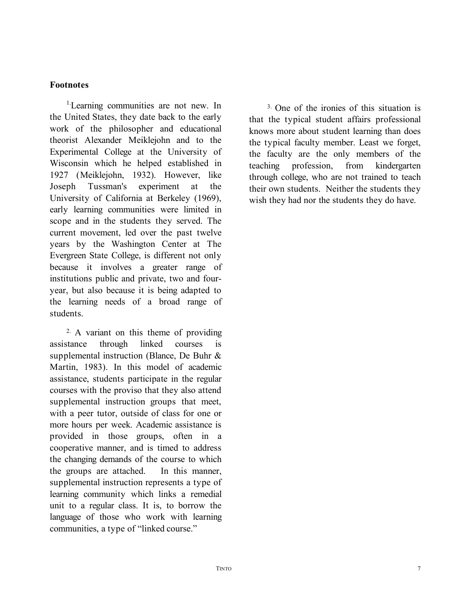#### **Footnotes**

<sup>1</sup> Learning communities are not new. In the United States, they date back to the early work of the philosopher and educational theorist Alexander Meiklejohn and to the Experimental College at the University of Wisconsin which he helped established in 1927 (Meiklejohn, 1932). However, like Joseph Tussman's experiment at the University of California at Berkeley (1969), early learning communities were limited in scope and in the students they served. The current movement, led over the past twelve years by the Washington Center at The Evergreen State College, is different not only because it involves a greater range of institutions public and private, two and fouryear, but also because it is being adapted to the learning needs of a broad range of students.

2. A variant on this theme of providing assistance through linked courses is supplemental instruction (Blance, De Buhr & Martin, 1983). In this model of academic assistance, students participate in the regular courses with the proviso that they also attend supplemental instruction groups that meet, with a peer tutor, outside of class for one or more hours per week. Academic assistance is provided in those groups, often in a cooperative manner, and is timed to address the changing demands of the course to which the groups are attached. In this manner, supplemental instruction represents a type of learning community which links a remedial unit to a regular class. It is, to borrow the language of those who work with learning communities, a type of "linked course."

3. One of the ironies of this situation is that the typical student affairs professional knows more about student learning than does the typical faculty member. Least we forget, the faculty are the only members of the teaching profession, from kindergarten through college, who are not trained to teach their own students. Neither the students they wish they had nor the students they do have.